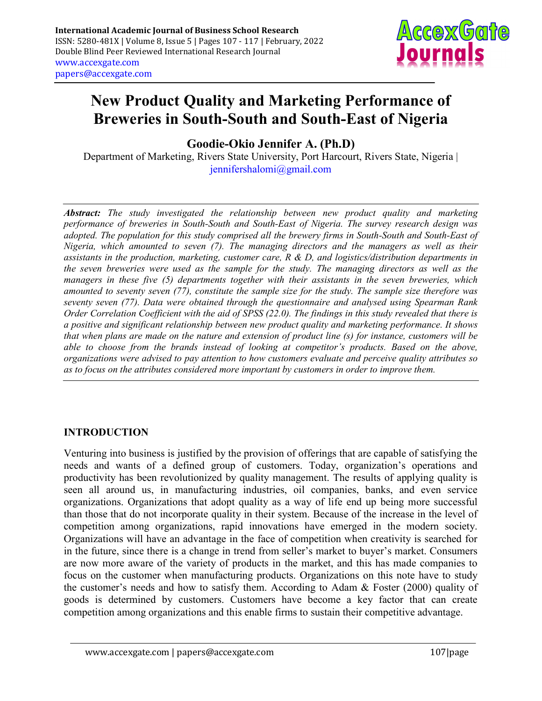

# New Product Quality and Marketing Performance of Breweries in South-South and South-East of Nigeria

Goodie-Okio Jennifer A. (Ph.D)

Department of Marketing, Rivers State University, Port Harcourt, Rivers State, Nigeria | jennifershalomi@gmail.com

Abstract: The study investigated the relationship between new product quality and marketing performance of breweries in South-South and South-East of Nigeria. The survey research design was adopted. The population for this study comprised all the brewery firms in South-South and South-East of Nigeria, which amounted to seven (7). The managing directors and the managers as well as their assistants in the production, marketing, customer care, R & D, and logistics/distribution departments in the seven breweries were used as the sample for the study. The managing directors as well as the managers in these five (5) departments together with their assistants in the seven breweries, which amounted to seventy seven (77), constitute the sample size for the study. The sample size therefore was seventy seven (77). Data were obtained through the questionnaire and analysed using Spearman Rank Order Correlation Coefficient with the aid of SPSS (22.0). The findings in this study revealed that there is a positive and significant relationship between new product quality and marketing performance. It shows that when plans are made on the nature and extension of product line (s) for instance, customers will be able to choose from the brands instead of looking at competitor's products. Based on the above, organizations were advised to pay attention to how customers evaluate and perceive quality attributes so as to focus on the attributes considered more important by customers in order to improve them.

# INTRODUCTION

Venturing into business is justified by the provision of offerings that are capable of satisfying the needs and wants of a defined group of customers. Today, organization's operations and productivity has been revolutionized by quality management. The results of applying quality is seen all around us, in manufacturing industries, oil companies, banks, and even service organizations. Organizations that adopt quality as a way of life end up being more successful than those that do not incorporate quality in their system. Because of the increase in the level of competition among organizations, rapid innovations have emerged in the modern society. Organizations will have an advantage in the face of competition when creativity is searched for in the future, since there is a change in trend from seller's market to buyer's market. Consumers are now more aware of the variety of products in the market, and this has made companies to focus on the customer when manufacturing products. Organizations on this note have to study the customer's needs and how to satisfy them. According to Adam & Foster (2000) quality of goods is determined by customers. Customers have become a key factor that can create competition among organizations and this enable firms to sustain their competitive advantage.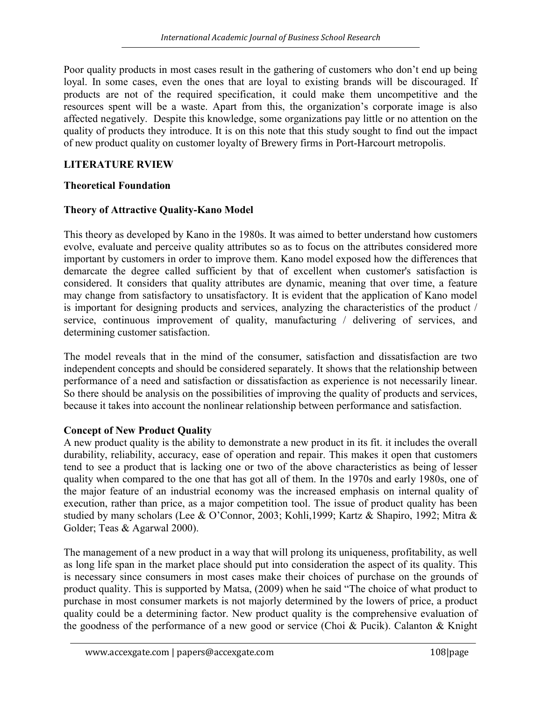Poor quality products in most cases result in the gathering of customers who don't end up being loyal. In some cases, even the ones that are loyal to existing brands will be discouraged. If products are not of the required specification, it could make them uncompetitive and the resources spent will be a waste. Apart from this, the organization's corporate image is also affected negatively. Despite this knowledge, some organizations pay little or no attention on the quality of products they introduce. It is on this note that this study sought to find out the impact of new product quality on customer loyalty of Brewery firms in Port-Harcourt metropolis.

## LITERATURE RVIEW

## Theoretical Foundation

## Theory of Attractive Quality-Kano Model

This theory as developed by Kano in the 1980s. It was aimed to better understand how customers evolve, evaluate and perceive quality attributes so as to focus on the attributes considered more important by customers in order to improve them. Kano model exposed how the differences that demarcate the degree called sufficient by that of excellent when customer's satisfaction is considered. It considers that quality attributes are dynamic, meaning that over time, a feature may change from satisfactory to unsatisfactory. It is evident that the application of Kano model is important for designing products and services, analyzing the characteristics of the product / service, continuous improvement of quality, manufacturing / delivering of services, and determining customer satisfaction.

The model reveals that in the mind of the consumer, satisfaction and dissatisfaction are two independent concepts and should be considered separately. It shows that the relationship between performance of a need and satisfaction or dissatisfaction as experience is not necessarily linear. So there should be analysis on the possibilities of improving the quality of products and services, because it takes into account the nonlinear relationship between performance and satisfaction.

## Concept of New Product Quality

A new product quality is the ability to demonstrate a new product in its fit. it includes the overall durability, reliability, accuracy, ease of operation and repair. This makes it open that customers tend to see a product that is lacking one or two of the above characteristics as being of lesser quality when compared to the one that has got all of them. In the 1970s and early 1980s, one of the major feature of an industrial economy was the increased emphasis on internal quality of execution, rather than price, as a major competition tool. The issue of product quality has been studied by many scholars (Lee & O'Connor, 2003; Kohli,1999; Kartz & Shapiro, 1992; Mitra & Golder; Teas & Agarwal 2000).

The management of a new product in a way that will prolong its uniqueness, profitability, as well as long life span in the market place should put into consideration the aspect of its quality. This is necessary since consumers in most cases make their choices of purchase on the grounds of product quality. This is supported by Matsa, (2009) when he said "The choice of what product to purchase in most consumer markets is not majorly determined by the lowers of price, a product quality could be a determining factor. New product quality is the comprehensive evaluation of the goodness of the performance of a new good or service (Choi & Pucik). Calanton & Knight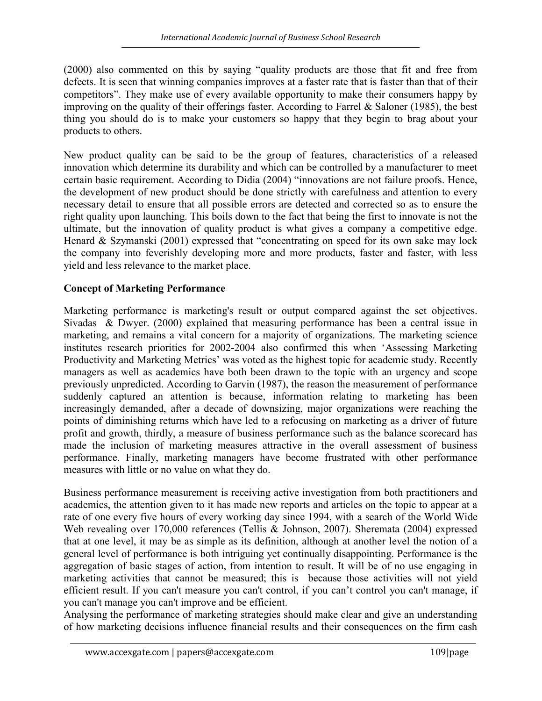(2000) also commented on this by saying "quality products are those that fit and free from defects. It is seen that winning companies improves at a faster rate that is faster than that of their competitors". They make use of every available opportunity to make their consumers happy by improving on the quality of their offerings faster. According to Farrel & Saloner (1985), the best thing you should do is to make your customers so happy that they begin to brag about your products to others.

New product quality can be said to be the group of features, characteristics of a released innovation which determine its durability and which can be controlled by a manufacturer to meet certain basic requirement. According to Didia (2004) "innovations are not failure proofs. Hence, the development of new product should be done strictly with carefulness and attention to every necessary detail to ensure that all possible errors are detected and corrected so as to ensure the right quality upon launching. This boils down to the fact that being the first to innovate is not the ultimate, but the innovation of quality product is what gives a company a competitive edge. Henard & Szymanski (2001) expressed that "concentrating on speed for its own sake may lock the company into feverishly developing more and more products, faster and faster, with less yield and less relevance to the market place.

# Concept of Marketing Performance

Marketing performance is marketing's result or output compared against the set objectives. Sivadas & Dwyer. (2000) explained that measuring performance has been a central issue in marketing, and remains a vital concern for a majority of organizations. The marketing science institutes research priorities for 2002-2004 also confirmed this when 'Assessing Marketing Productivity and Marketing Metrics' was voted as the highest topic for academic study. Recently managers as well as academics have both been drawn to the topic with an urgency and scope previously unpredicted. According to Garvin (1987), the reason the measurement of performance suddenly captured an attention is because, information relating to marketing has been increasingly demanded, after a decade of downsizing, major organizations were reaching the points of diminishing returns which have led to a refocusing on marketing as a driver of future profit and growth, thirdly, a measure of business performance such as the balance scorecard has made the inclusion of marketing measures attractive in the overall assessment of business performance. Finally, marketing managers have become frustrated with other performance measures with little or no value on what they do.

Business performance measurement is receiving active investigation from both practitioners and academics, the attention given to it has made new reports and articles on the topic to appear at a rate of one every five hours of every working day since 1994, with a search of the World Wide Web revealing over 170,000 references (Tellis & Johnson, 2007). Sheremata (2004) expressed that at one level, it may be as simple as its definition, although at another level the notion of a general level of performance is both intriguing yet continually disappointing. Performance is the aggregation of basic stages of action, from intention to result. It will be of no use engaging in marketing activities that cannot be measured; this is because those activities will not yield efficient result. If you can't measure you can't control, if you can't control you can't manage, if you can't manage you can't improve and be efficient.

Analysing the performance of marketing strategies should make clear and give an understanding of how marketing decisions influence financial results and their consequences on the firm cash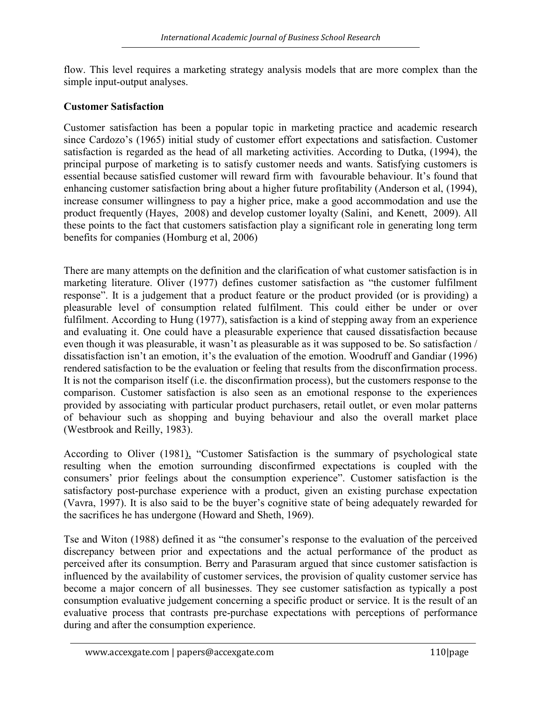flow. This level requires a marketing strategy analysis models that are more complex than the simple input-output analyses.

# Customer Satisfaction

Customer satisfaction has been a popular topic in marketing practice and academic research since Cardozo's (1965) initial study of customer effort expectations and satisfaction. Customer satisfaction is regarded as the head of all marketing activities. According to Dutka, (1994), the principal purpose of marketing is to satisfy customer needs and wants. Satisfying customers is essential because satisfied customer will reward firm with favourable behaviour. It's found that enhancing customer satisfaction bring about a higher future profitability (Anderson et al, (1994), increase consumer willingness to pay a higher price, make a good accommodation and use the product frequently (Hayes, 2008) and develop customer loyalty (Salini, and Kenett, 2009). All these points to the fact that customers satisfaction play a significant role in generating long term benefits for companies (Homburg et al, 2006)

There are many attempts on the definition and the clarification of what customer satisfaction is in marketing literature. Oliver (1977) defines customer satisfaction as "the customer fulfilment response". It is a judgement that a product feature or the product provided (or is providing) a pleasurable level of consumption related fulfilment. This could either be under or over fulfilment. According to Hung (1977), satisfaction is a kind of stepping away from an experience and evaluating it. One could have a pleasurable experience that caused dissatisfaction because even though it was pleasurable, it wasn't as pleasurable as it was supposed to be. So satisfaction / dissatisfaction isn't an emotion, it's the evaluation of the emotion. Woodruff and Gandiar (1996) rendered satisfaction to be the evaluation or feeling that results from the disconfirmation process. It is not the comparison itself (i.e. the disconfirmation process), but the customers response to the comparison. Customer satisfaction is also seen as an emotional response to the experiences provided by associating with particular product purchasers, retail outlet, or even molar patterns of behaviour such as shopping and buying behaviour and also the overall market place (Westbrook and Reilly, 1983).

According to Oliver (1981), "Customer Satisfaction is the summary of psychological state resulting when the emotion surrounding disconfirmed expectations is coupled with the consumers' prior feelings about the consumption experience". Customer satisfaction is the satisfactory post-purchase experience with a product, given an existing purchase expectation (Vavra, 1997). It is also said to be the buyer's cognitive state of being adequately rewarded for the sacrifices he has undergone (Howard and Sheth, 1969).

Tse and Witon (1988) defined it as "the consumer's response to the evaluation of the perceived discrepancy between prior and expectations and the actual performance of the product as perceived after its consumption. Berry and Parasuram argued that since customer satisfaction is influenced by the availability of customer services, the provision of quality customer service has become a major concern of all businesses. They see customer satisfaction as typically a post consumption evaluative judgement concerning a specific product or service. It is the result of an evaluative process that contrasts pre-purchase expectations with perceptions of performance during and after the consumption experience.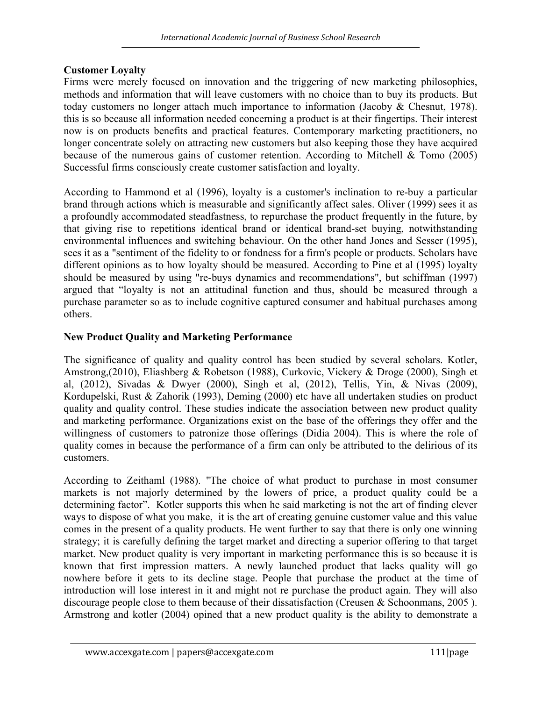## Customer Loyalty

Firms were merely focused on innovation and the triggering of new marketing philosophies, methods and information that will leave customers with no choice than to buy its products. But today customers no longer attach much importance to information (Jacoby & Chesnut, 1978). this is so because all information needed concerning a product is at their fingertips. Their interest now is on products benefits and practical features. Contemporary marketing practitioners, no longer concentrate solely on attracting new customers but also keeping those they have acquired because of the numerous gains of customer retention. According to Mitchell & Tomo (2005) Successful firms consciously create customer satisfaction and loyalty.

According to Hammond et al (1996), loyalty is a customer's inclination to re-buy a particular brand through actions which is measurable and significantly affect sales. Oliver (1999) sees it as a profoundly accommodated steadfastness, to repurchase the product frequently in the future, by that giving rise to repetitions identical brand or identical brand-set buying, notwithstanding environmental influences and switching behaviour. On the other hand Jones and Sesser (1995), sees it as a "sentiment of the fidelity to or fondness for a firm's people or products. Scholars have different opinions as to how loyalty should be measured. According to Pine et al (1995) loyalty should be measured by using "re-buys dynamics and recommendations", but schiffman (1997) argued that "loyalty is not an attitudinal function and thus, should be measured through a purchase parameter so as to include cognitive captured consumer and habitual purchases among others.

# New Product Quality and Marketing Performance

The significance of quality and quality control has been studied by several scholars. Kotler, Amstrong,(2010), Eliashberg & Robetson (1988), Curkovic, Vickery & Droge (2000), Singh et al, (2012), Sivadas & Dwyer (2000), Singh et al, (2012), Tellis, Yin, & Nivas (2009), Kordupelski, Rust & Zahorik (1993), Deming (2000) etc have all undertaken studies on product quality and quality control. These studies indicate the association between new product quality and marketing performance. Organizations exist on the base of the offerings they offer and the willingness of customers to patronize those offerings (Didia 2004). This is where the role of quality comes in because the performance of a firm can only be attributed to the delirious of its customers.

According to Zeithaml (1988). "The choice of what product to purchase in most consumer markets is not majorly determined by the lowers of price, a product quality could be a determining factor". Kotler supports this when he said marketing is not the art of finding clever ways to dispose of what you make, it is the art of creating genuine customer value and this value comes in the present of a quality products. He went further to say that there is only one winning strategy; it is carefully defining the target market and directing a superior offering to that target market. New product quality is very important in marketing performance this is so because it is known that first impression matters. A newly launched product that lacks quality will go nowhere before it gets to its decline stage. People that purchase the product at the time of introduction will lose interest in it and might not re purchase the product again. They will also discourage people close to them because of their dissatisfaction (Creusen & Schoonmans, 2005 ). Armstrong and kotler (2004) opined that a new product quality is the ability to demonstrate a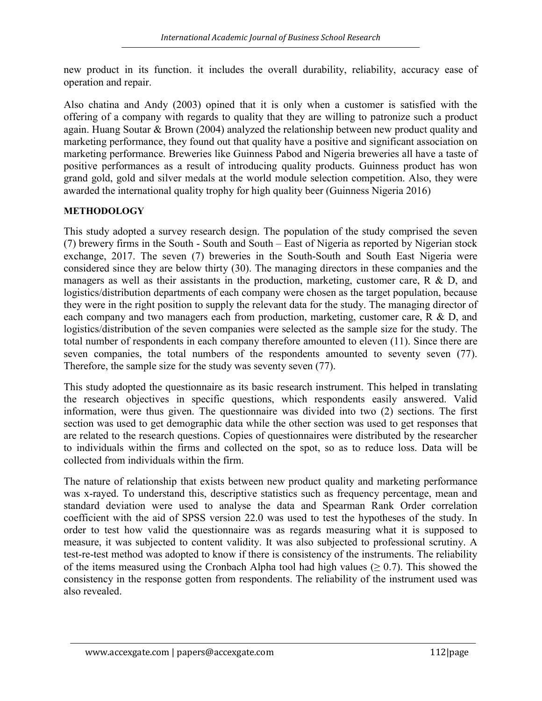new product in its function. it includes the overall durability, reliability, accuracy ease of operation and repair.

Also chatina and Andy (2003) opined that it is only when a customer is satisfied with the offering of a company with regards to quality that they are willing to patronize such a product again. Huang Soutar & Brown (2004) analyzed the relationship between new product quality and marketing performance, they found out that quality have a positive and significant association on marketing performance. Breweries like Guinness Pabod and Nigeria breweries all have a taste of positive performances as a result of introducing quality products. Guinness product has won grand gold, gold and silver medals at the world module selection competition. Also, they were awarded the international quality trophy for high quality beer (Guinness Nigeria 2016)

## **METHODOLOGY**

This study adopted a survey research design. The population of the study comprised the seven (7) brewery firms in the South - South and South – East of Nigeria as reported by Nigerian stock exchange, 2017. The seven (7) breweries in the South-South and South East Nigeria were considered since they are below thirty (30). The managing directors in these companies and the managers as well as their assistants in the production, marketing, customer care, R & D, and logistics/distribution departments of each company were chosen as the target population, because they were in the right position to supply the relevant data for the study. The managing director of each company and two managers each from production, marketing, customer care, R & D, and logistics/distribution of the seven companies were selected as the sample size for the study. The total number of respondents in each company therefore amounted to eleven (11). Since there are seven companies, the total numbers of the respondents amounted to seventy seven (77). Therefore, the sample size for the study was seventy seven (77).

This study adopted the questionnaire as its basic research instrument. This helped in translating the research objectives in specific questions, which respondents easily answered. Valid information, were thus given. The questionnaire was divided into two (2) sections. The first section was used to get demographic data while the other section was used to get responses that are related to the research questions. Copies of questionnaires were distributed by the researcher to individuals within the firms and collected on the spot, so as to reduce loss. Data will be collected from individuals within the firm.

The nature of relationship that exists between new product quality and marketing performance was x-rayed. To understand this, descriptive statistics such as frequency percentage, mean and standard deviation were used to analyse the data and Spearman Rank Order correlation coefficient with the aid of SPSS version 22.0 was used to test the hypotheses of the study. In order to test how valid the questionnaire was as regards measuring what it is supposed to measure, it was subjected to content validity. It was also subjected to professional scrutiny. A test-re-test method was adopted to know if there is consistency of the instruments. The reliability of the items measured using the Cronbach Alpha tool had high values ( $\geq 0.7$ ). This showed the consistency in the response gotten from respondents. The reliability of the instrument used was also revealed.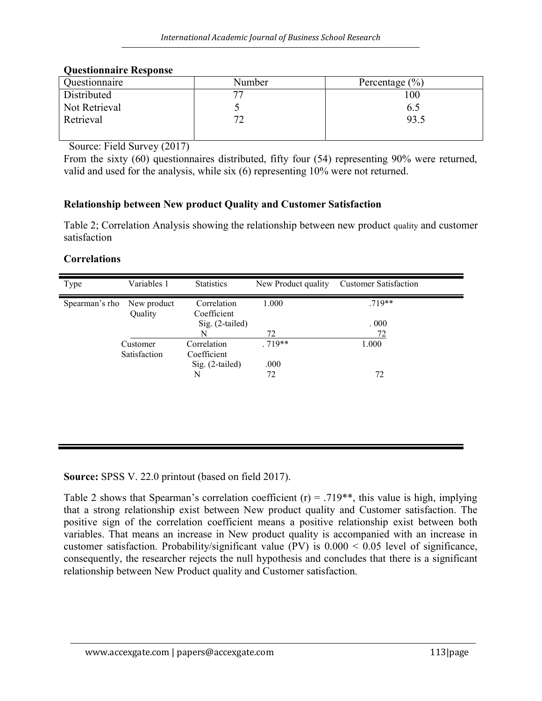## Questionnaire Response

| Questionnaire | Number | Percentage $(\% )$ |
|---------------|--------|--------------------|
| Distributed   |        | 100                |
| Not Retrieval |        | 6.5                |
| Retrieval     |        | 93.5               |
|               |        |                    |

Source: Field Survey (2017)

From the sixty (60) questionnaires distributed, fifty four (54) representing 90% were returned, valid and used for the analysis, while six (6) representing 10% were not returned.

## Relationship between New product Quality and Customer Satisfaction

Table 2; Correlation Analysis showing the relationship between new product quality and customer satisfaction

#### Correlations

| Type           | Variables 1  | <b>Statistics</b>              | New Product quality | <b>Customer Satisfaction</b> |
|----------------|--------------|--------------------------------|---------------------|------------------------------|
| Spearman's rho | New product  | Correlation                    | 1.000               | $.719**$                     |
|                | Quality      | Coefficient<br>Sig. (2-tailed) |                     | .000                         |
|                |              | N                              | 72                  | 72                           |
|                | Customer     | Correlation                    | $.719**$            | 1.000                        |
|                | Satisfaction | Coefficient                    |                     |                              |
|                |              | Sig. (2-tailed)                | .000                |                              |
|                |              | N                              | 72                  | 72                           |
|                |              |                                |                     |                              |
|                |              |                                |                     |                              |
|                |              |                                |                     |                              |
|                |              |                                |                     |                              |

Source: SPSS V. 22.0 printout (based on field 2017).

Table 2 shows that Spearman's correlation coefficient (r) = .719<sup>\*\*</sup>, this value is high, implying that a strong relationship exist between New product quality and Customer satisfaction. The positive sign of the correlation coefficient means a positive relationship exist between both variables. That means an increase in New product quality is accompanied with an increase in customer satisfaction. Probability/significant value (PV) is  $0.000 \le 0.05$  level of significance, consequently, the researcher rejects the null hypothesis and concludes that there is a significant relationship between New Product quality and Customer satisfaction.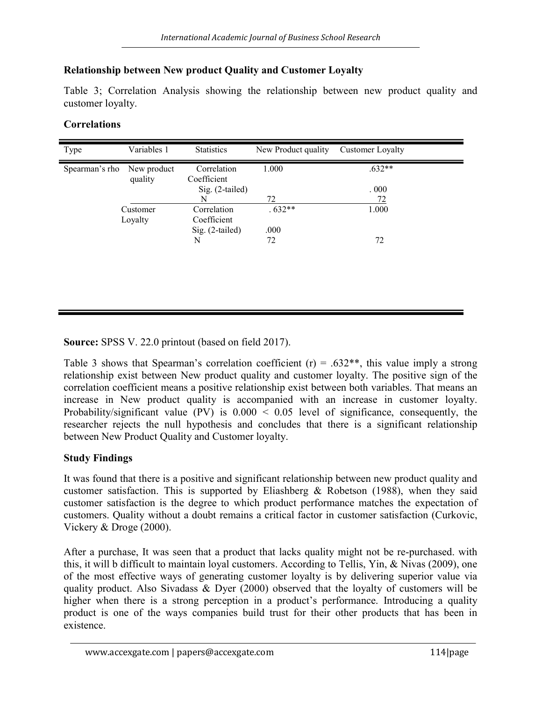#### Relationship between New product Quality and Customer Loyalty

Table 3; Correlation Analysis showing the relationship between new product quality and customer loyalty.

#### Correlations

| Type           | Variables 1            | <b>Statistics</b>          | New Product quality | Customer Loyalty |
|----------------|------------------------|----------------------------|---------------------|------------------|
| Spearman's rho | New product<br>quality | Correlation<br>Coefficient | 1.000               | $.632**$         |
|                |                        | $Sig. (2-tailed)$          |                     | .000             |
|                |                        | N                          | 72                  | 72               |
|                | Customer               | Correlation                | $.632**$            | 1.000            |
|                | Loyalty                | Coefficient                |                     |                  |
|                |                        | $Sig. (2-tailed)$          | .000                |                  |
|                |                        | N                          | 72                  | 72               |
|                |                        |                            |                     |                  |
|                |                        |                            |                     |                  |

Source: SPSS V. 22.0 printout (based on field 2017).

Table 3 shows that Spearman's correlation coefficient (r) = .632\*\*, this value imply a strong relationship exist between New product quality and customer loyalty. The positive sign of the correlation coefficient means a positive relationship exist between both variables. That means an increase in New product quality is accompanied with an increase in customer loyalty. Probability/significant value (PV) is  $0.000 \le 0.05$  level of significance, consequently, the researcher rejects the null hypothesis and concludes that there is a significant relationship between New Product Quality and Customer loyalty.

## Study Findings

It was found that there is a positive and significant relationship between new product quality and customer satisfaction. This is supported by Eliashberg  $\&$  Robetson (1988), when they said customer satisfaction is the degree to which product performance matches the expectation of customers. Quality without a doubt remains a critical factor in customer satisfaction (Curkovic, Vickery & Droge (2000).

After a purchase, It was seen that a product that lacks quality might not be re-purchased. with this, it will b difficult to maintain loyal customers. According to Tellis, Yin, & Nivas (2009), one of the most effective ways of generating customer loyalty is by delivering superior value via quality product. Also Sivadass & Dyer (2000) observed that the loyalty of customers will be higher when there is a strong perception in a product's performance. Introducing a quality product is one of the ways companies build trust for their other products that has been in existence.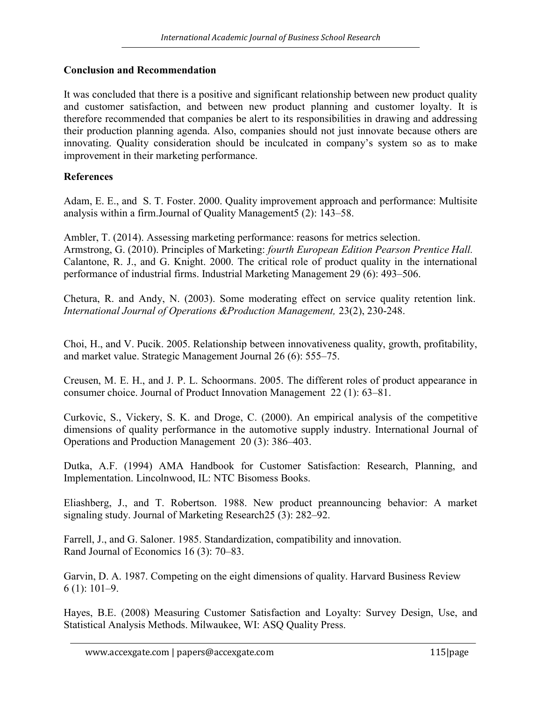#### Conclusion and Recommendation

It was concluded that there is a positive and significant relationship between new product quality and customer satisfaction, and between new product planning and customer loyalty. It is therefore recommended that companies be alert to its responsibilities in drawing and addressing their production planning agenda. Also, companies should not just innovate because others are innovating. Quality consideration should be inculcated in company's system so as to make improvement in their marketing performance.

#### References

Adam, E. E., and S. T. Foster. 2000. Quality improvement approach and performance: Multisite analysis within a firm.Journal of Quality Management5 (2): 143–58.

Ambler, T. (2014). Assessing marketing performance: reasons for metrics selection. Armstrong, G. (2010). Principles of Marketing: fourth European Edition Pearson Prentice Hall. Calantone, R. J., and G. Knight. 2000. The critical role of product quality in the international performance of industrial firms. Industrial Marketing Management 29 (6): 493–506.

Chetura, R. and Andy, N. (2003). Some moderating effect on service quality retention link. International Journal of Operations &Production Management, 23(2), 230-248.

Choi, H., and V. Pucik. 2005. Relationship between innovativeness quality, growth, profitability, and market value. Strategic Management Journal 26 (6): 555–75.

Creusen, M. E. H., and J. P. L. Schoormans. 2005. The different roles of product appearance in consumer choice. Journal of Product Innovation Management 22 (1): 63–81.

Curkovic, S., Vickery, S. K. and Droge, C. (2000). An empirical analysis of the competitive dimensions of quality performance in the automotive supply industry. International Journal of Operations and Production Management 20 (3): 386–403.

Dutka, A.F. (1994) AMA Handbook for Customer Satisfaction: Research, Planning, and Implementation. Lincolnwood, IL: NTC Bisomess Books.

Eliashberg, J., and T. Robertson. 1988. New product preannouncing behavior: A market signaling study. Journal of Marketing Research25 (3): 282–92.

Farrell, J., and G. Saloner. 1985. Standardization, compatibility and innovation. Rand Journal of Economics 16 (3): 70–83.

Garvin, D. A. 1987. Competing on the eight dimensions of quality. Harvard Business Review 6 (1): 101–9.

Hayes, B.E. (2008) Measuring Customer Satisfaction and Loyalty: Survey Design, Use, and Statistical Analysis Methods. Milwaukee, WI: ASQ Quality Press.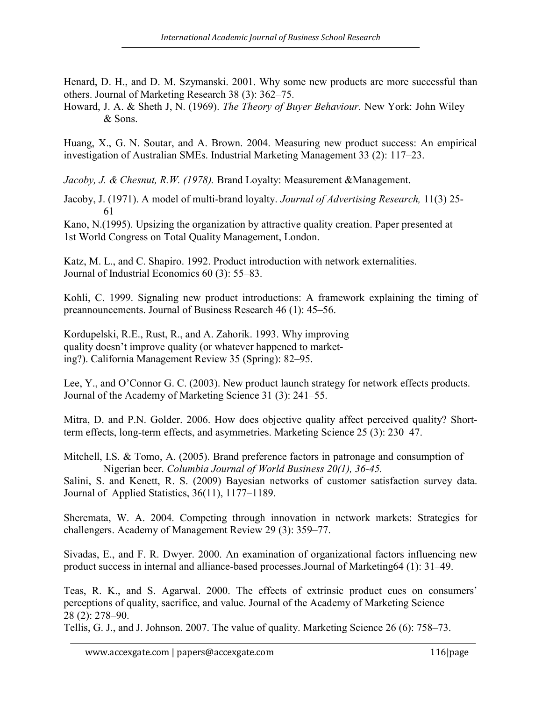Henard, D. H., and D. M. Szymanski. 2001. Why some new products are more successful than others. Journal of Marketing Research 38 (3): 362–75.

Howard, J. A. & Sheth J, N. (1969). The Theory of Buyer Behaviour. New York: John Wiley & Sons.

Huang, X., G. N. Soutar, and A. Brown. 2004. Measuring new product success: An empirical investigation of Australian SMEs. Industrial Marketing Management 33 (2): 117–23.

Jacoby, J. & Chesnut, R.W. (1978). Brand Loyalty: Measurement & Management.

Jacoby, J. (1971). A model of multi-brand loyalty. Journal of Advertising Research, 11(3) 25- 61

Kano, N.(1995). Upsizing the organization by attractive quality creation. Paper presented at 1st World Congress on Total Quality Management, London.

Katz, M. L., and C. Shapiro. 1992. Product introduction with network externalities. Journal of Industrial Economics 60 (3): 55–83.

Kohli, C. 1999. Signaling new product introductions: A framework explaining the timing of preannouncements. Journal of Business Research 46 (1): 45–56.

Kordupelski, R.E., Rust, R., and A. Zahorik. 1993. Why improving quality doesn't improve quality (or whatever happened to marketing?). California Management Review 35 (Spring): 82–95.

Lee, Y., and O'Connor G. C. (2003). New product launch strategy for network effects products. Journal of the Academy of Marketing Science 31 (3): 241–55.

Mitra, D. and P.N. Golder. 2006. How does objective quality affect perceived quality? Shortterm effects, long-term effects, and asymmetries. Marketing Science 25 (3): 230–47.

Mitchell, I.S. & Tomo, A. (2005). Brand preference factors in patronage and consumption of Nigerian beer. Columbia Journal of World Business 20(1), 36-45.

Salini, S. and Kenett, R. S. (2009) Bayesian networks of customer satisfaction survey data. Journal of Applied Statistics, 36(11), 1177–1189.

Sheremata, W. A. 2004. Competing through innovation in network markets: Strategies for challengers. Academy of Management Review 29 (3): 359–77.

Sivadas, E., and F. R. Dwyer. 2000. An examination of organizational factors influencing new product success in internal and alliance-based processes.Journal of Marketing64 (1): 31–49.

Teas, R. K., and S. Agarwal. 2000. The effects of extrinsic product cues on consumers' perceptions of quality, sacrifice, and value. Journal of the Academy of Marketing Science 28 (2): 278–90.

Tellis, G. J., and J. Johnson. 2007. The value of quality. Marketing Science 26 (6): 758–73.